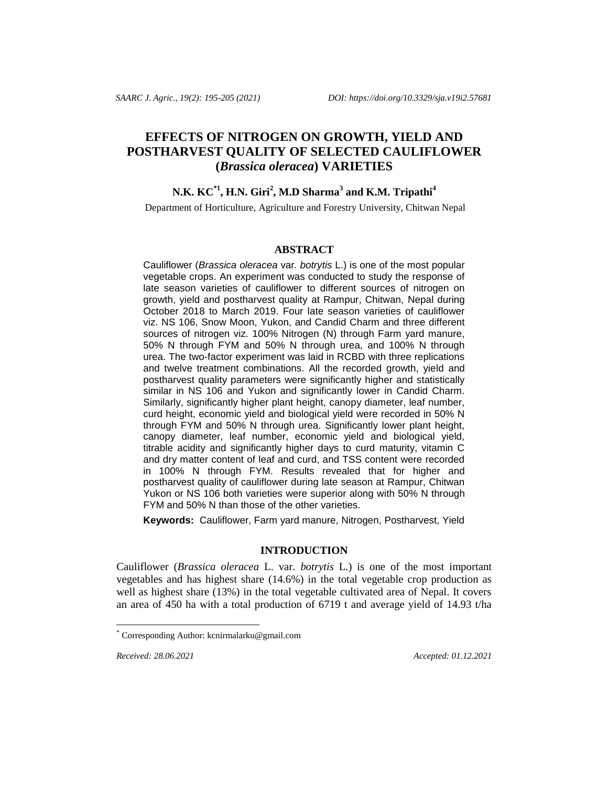# **EFFECTS OF NITROGEN ON GROWTH, YIELD AND POSTHARVEST QUALITY OF SELECTED CAULIFLOWER (***Brassica oleracea***) VARIETIES**

## **N.K. KC\*1 , H.N. Giri<sup>2</sup> , M.D Sharma<sup>3</sup> and K.M. Tripathi<sup>4</sup>**

Department of Horticulture, Agriculture and Forestry University, Chitwan Nepal

#### **ABSTRACT**

Cauliflower (*Brassica oleracea* var*. botrytis* L.) is one of the most popular vegetable crops. An experiment was conducted to study the response of late season varieties of cauliflower to different sources of nitrogen on growth, yield and postharvest quality at Rampur, Chitwan, Nepal during October 2018 to March 2019. Four late season varieties of cauliflower viz. NS 106, Snow Moon, Yukon, and Candid Charm and three different sources of nitrogen viz. 100% Nitrogen (N) through Farm yard manure, 50% N through FYM and 50% N through urea, and 100% N through urea. The two-factor experiment was laid in RCBD with three replications and twelve treatment combinations. All the recorded growth, yield and postharvest quality parameters were significantly higher and statistically similar in NS 106 and Yukon and significantly lower in Candid Charm. Similarly, significantly higher plant height, canopy diameter, leaf number, curd height, economic yield and biological yield were recorded in 50% N through FYM and 50% N through urea. Significantly lower plant height, canopy diameter, leaf number, economic yield and biological yield, titrable acidity and significantly higher days to curd maturity, vitamin C and dry matter content of leaf and curd, and TSS content were recorded in 100% N through FYM. Results revealed that for higher and postharvest quality of cauliflower during late season at Rampur, Chitwan Yukon or NS 106 both varieties were superior along with 50% N through FYM and 50% N than those of the other varieties.

**Keywords:** Cauliflower, Farm yard manure, Nitrogen, Postharvest, Yield

## **INTRODUCTION**

Cauliflower (*Brassica oleracea* L. var. *botrytis* L*.*) is one of the most important vegetables and has highest share (14.6%) in the total vegetable crop production as well as highest share (13%) in the total vegetable cultivated area of Nepal. It covers an area of 450 ha with a total production of 6719 t and average yield of 14.93 t/ha

l

*Received: 28.06.2021* Accepted: 01.12.2021

<sup>\*</sup> Corresponding Author[: kcnirmalarku@gmail.com](mailto:kcnirmalarku@gmail.com)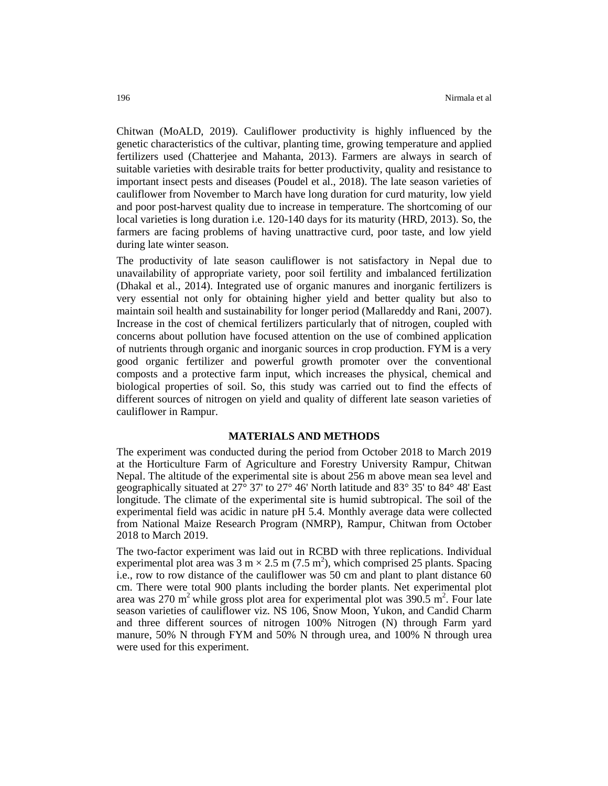Chitwan (MoALD, 2019). Cauliflower productivity is highly influenced by the genetic characteristics of the cultivar, planting time, growing temperature and applied fertilizers used (Chatterjee and Mahanta, 2013). Farmers are always in search of suitable varieties with desirable traits for better productivity, quality and resistance to important insect pests and diseases (Poudel et al., 2018). The late season varieties of cauliflower from November to March have long duration for curd maturity, low yield and poor post-harvest quality due to increase in temperature. The shortcoming of our local varieties is long duration i.e. 120-140 days for its maturity (HRD, 2013). So, the farmers are facing problems of having unattractive curd, poor taste, and low yield during late winter season.

The productivity of late season cauliflower is not satisfactory in Nepal due to unavailability of appropriate variety, poor soil fertility and imbalanced fertilization (Dhakal et al., 2014). Integrated use of organic manures and inorganic fertilizers is very essential not only for obtaining higher yield and better quality but also to maintain soil health and sustainability for longer period (Mallareddy and Rani, 2007). Increase in the cost of chemical fertilizers particularly that of nitrogen, coupled with concerns about pollution have focused attention on the use of combined application of nutrients through organic and inorganic sources in crop production. FYM is a very good organic fertilizer and powerful growth promoter over the conventional composts and a protective farm input, which increases the physical, chemical and biological properties of soil. So, this study was carried out to find the effects of different sources of nitrogen on yield and quality of different late season varieties of cauliflower in Rampur.

## **MATERIALS AND METHODS**

The experiment was conducted during the period from October 2018 to March 2019 at the Horticulture Farm of Agriculture and Forestry University Rampur, Chitwan Nepal. The altitude of the experimental site is about 256 m above mean sea level and geographically situated at 27° 37' to 27° 46' North latitude and 83° 35' to 84° 48' East longitude. The climate of the experimental site is humid subtropical. The soil of the experimental field was acidic in nature pH 5.4. Monthly average data were collected from National Maize Research Program (NMRP), Rampur, Chitwan from October 2018 to March 2019.

The two-factor experiment was laid out in RCBD with three replications. Individual experimental plot area was  $3 \text{ m} \times 2.5 \text{ m} (7.5 \text{ m}^2)$ , which comprised 25 plants. Spacing i.e., row to row distance of the cauliflower was 50 cm and plant to plant distance 60 cm. There were total 900 plants including the border plants. Net experimental plot area was 270 m<sup>2</sup> while gross plot area for experimental plot was 390.5 m<sup>2</sup>. Four late season varieties of cauliflower viz. NS 106, Snow Moon, Yukon, and Candid Charm and three different sources of nitrogen 100% Nitrogen (N) through Farm yard manure, 50% N through FYM and 50% N through urea, and 100% N through urea were used for this experiment.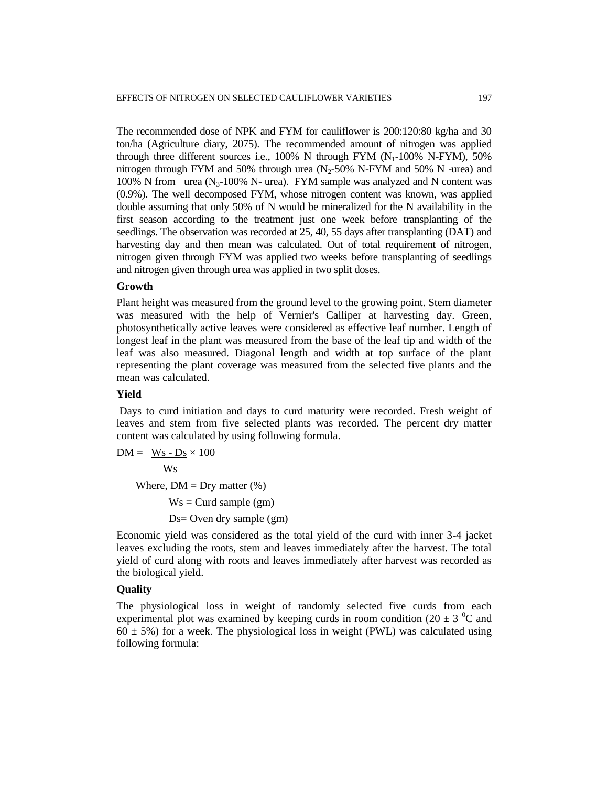The recommended dose of NPK and FYM for cauliflower is 200:120:80 kg/ha and 30 ton/ha (Agriculture diary, 2075). The recommended amount of nitrogen was applied through three different sources i.e.,  $100\%$  N through FYM  $(N_1-100\%$  N-FYM), 50% nitrogen through FYM and 50% through urea  $(N_2$ -50% N-FYM and 50% N -urea) and 100% N from urea  $(N_{3}$ -100% N- urea). FYM sample was analyzed and N content was (0.9%). The well decomposed FYM, whose nitrogen content was known, was applied double assuming that only 50% of N would be mineralized for the N availability in the first season according to the treatment just one week before transplanting of the seedlings. The observation was recorded at 25, 40, 55 days after transplanting (DAT) and harvesting day and then mean was calculated. Out of total requirement of nitrogen, nitrogen given through FYM was applied two weeks before transplanting of seedlings and nitrogen given through urea was applied in two split doses.

#### **Growth**

Plant height was measured from the ground level to the growing point. Stem diameter was measured with the help of Vernier's Calliper at harvesting day. Green, photosynthetically active leaves were considered as effective leaf number. Length of longest leaf in the plant was measured from the base of the leaf tip and width of the leaf was also measured. Diagonal length and width at top surface of the plant representing the plant coverage was measured from the selected five plants and the mean was calculated.

#### **Yield**

Days to curd initiation and days to curd maturity were recorded. Fresh weight of leaves and stem from five selected plants was recorded. The percent dry matter content was calculated by using following formula.

 $DM = Ws - Ds \times 100$  Ws Where,  $DM = Dry$  matter  $(\%)$  $Ws =$ Curd sample (gm)

Ds= Oven dry sample (gm)

Economic yield was considered as the total yield of the curd with inner 3-4 jacket leaves excluding the roots, stem and leaves immediately after the harvest. The total yield of curd along with roots and leaves immediately after harvest was recorded as the biological yield.

## **Quality**

The physiological loss in weight of randomly selected five curds from each experimental plot was examined by keeping curds in room condition (20  $\pm$  3  $^{\circ}$ C and  $60 \pm 5\%$ ) for a week. The physiological loss in weight (PWL) was calculated using following formula: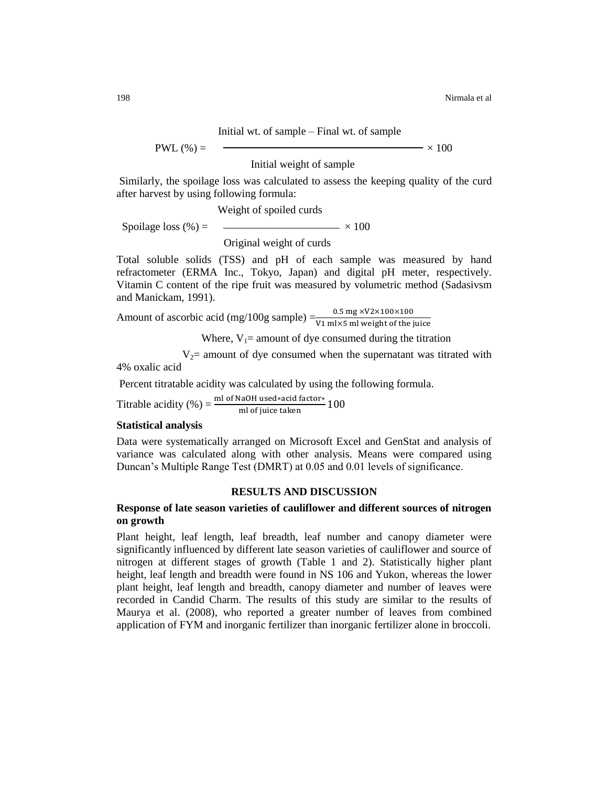#### Initial wt. of sample – Final wt. of sample

 $\text{PWL}(\%) = \text{$   $\times 100$ 

Initial weight of sample

Similarly, the spoilage loss was calculated to assess the keeping quality of the curd after harvest by using following formula:

Weight of spoiled curds

Spoilage loss  $(\%) =$   $\qquad \qquad \longrightarrow$   $\times 100$ 

Original weight of curds

Total soluble solids (TSS) and pH of each sample was measured by hand refractometer (ERMA Inc., Tokyo, Japan) and digital pH meter, respectively. Vitamin C content of the ripe fruit was measured by volumetric method (Sadasivsm and Manickam, 1991).

Amount of ascorbic acid (mg/100g sample)  $=\frac{0}{V1 \text{ ml}}$ 

Where,  $V_1$  = amount of dye consumed during the titration

 $V_2$ = amount of dye consumed when the supernatant was titrated with 4% oxalic acid

Percent titratable acidity was calculated by using the following formula.

Titrable acidity (%) =  $\frac{\text{min of } \text{na}}{\text{m}}$ 

## **Statistical analysis**

Data were systematically arranged on Microsoft Excel and GenStat and analysis of variance was calculated along with other analysis. Means were compared using Duncan's Multiple Range Test (DMRT) at 0.05 and 0.01 levels of significance.

## **RESULTS AND DISCUSSION**

## **Response of late season varieties of cauliflower and different sources of nitrogen on growth**

Plant height, leaf length, leaf breadth, leaf number and canopy diameter were significantly influenced by different late season varieties of cauliflower and source of nitrogen at different stages of growth (Table 1 and 2). Statistically higher plant height, leaf length and breadth were found in NS 106 and Yukon, whereas the lower plant height, leaf length and breadth, canopy diameter and number of leaves were recorded in Candid Charm. The results of this study are similar to the results of Maurya et al. (2008), who reported a greater number of leaves from combined application of FYM and inorganic fertilizer than inorganic fertilizer alone in broccoli.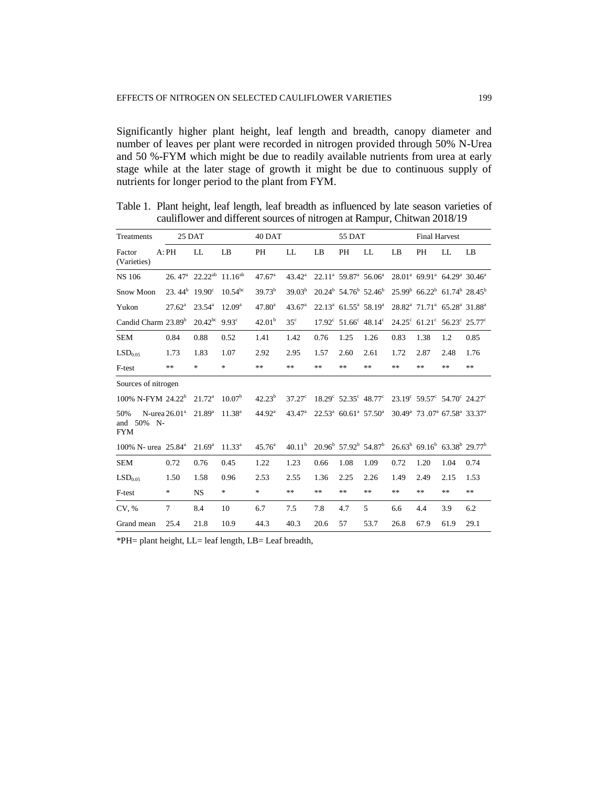Significantly higher plant height, leaf length and breadth, canopy diameter and number of leaves per plant were recorded in nitrogen provided through 50% N-Urea and 50 %-FYM which might be due to readily available nutrients from urea at early stage while at the later stage of growth it might be due to continuous supply of nutrients for longer period to the plant from FYM.

| Treatments                            |                                       | 25 DAT                                                     |                    | 40 DAT             |                    |      | 55 DAT                                                |                                                 |      | <b>Final Harvest</b>                                                        |      |      |
|---------------------------------------|---------------------------------------|------------------------------------------------------------|--------------------|--------------------|--------------------|------|-------------------------------------------------------|-------------------------------------------------|------|-----------------------------------------------------------------------------|------|------|
| Factor<br>(Varieties)                 | A:PH                                  | LL                                                         | LB                 | PH                 | LL                 | LB   | PH                                                    | LL                                              | LB   | PH                                                                          | LL   | LB   |
| <b>NS 106</b>                         |                                       | 26.47 <sup>a</sup> 22.22 <sup>ab</sup> 11.16 <sup>ab</sup> |                    | 47.67 <sup>a</sup> | $43.42^{\circ}$    |      | $22.11^a$ 59.87 <sup>a</sup> 56.06 <sup>a</sup>       |                                                 |      | $28.01^a$ 69.91 <sup>a</sup> 64.29 <sup>a</sup> 30.46 <sup>a</sup>          |      |      |
| Snow Moon                             | 23.44 <sup>b</sup> 19.90 <sup>c</sup> |                                                            | $10.54^{bc}$       | $39.73^b$          | $39.03^{b}$        |      | $20.24^{\rm b}$ 54.76 <sup>b</sup> 52.46 <sup>b</sup> |                                                 |      | $25.99^b$ 66.22 <sup>b</sup> 61.74 <sup>b</sup> 28.45 <sup>b</sup>          |      |      |
| Yukon                                 | $27.62^{\rm a}$                       | $23.54^{\circ}$                                            | $12.09^{\rm a}$    | $47.80^a$          | 43.67 <sup>a</sup> |      | $22.13^a$ 61.55 <sup>a</sup> 58.19 <sup>a</sup>       |                                                 |      | $28.82^a$ 71.71 <sup>a</sup> 65.28 <sup>a</sup> 31.88 <sup>a</sup>          |      |      |
| Candid Charm 23.89 <sup>b</sup>       |                                       | $20.42^{bc}$ 9.93°                                         |                    | 42.01 <sup>b</sup> | 35 <sup>c</sup>    |      | $17.92^{\circ}$ 51.66 $^{\circ}$ 48.14 $^{\circ}$     |                                                 |      | $24.25^{\circ}$ 61.21° 56.23° 25.77°                                        |      |      |
| <b>SEM</b>                            | 0.84                                  | 0.88                                                       | 0.52               | 1.41               | 1.42               | 0.76 | 1.25                                                  | 1.26                                            | 0.83 | 1.38                                                                        | 1.2  | 0.85 |
| LSD <sub>0.05</sub>                   | 1.73                                  | 1.83                                                       | 1.07               | 2.92               | 2.95               | 1.57 | 2.60                                                  | 2.61                                            | 1.72 | 2.87                                                                        | 2.48 | 1.76 |
| F-test                                | **                                    | *                                                          | $\ast$             | $**$               | **                 | **   | **                                                    | **                                              | **   | **                                                                          | **   | $**$ |
| Sources of nitrogen                   |                                       |                                                            |                    |                    |                    |      |                                                       |                                                 |      |                                                                             |      |      |
| 100% N-FYM 24.22 <sup>b</sup>         |                                       | $21.72^{\rm a}$                                            | 10.07 <sup>b</sup> | $42.23^{b}$        | $37.27^{\circ}$    |      | $18.29^{\circ}$ 52.35° $48.77^{\circ}$                |                                                 |      | $23.19^{\circ}$ 59.57° 54.70° 24.27°                                        |      |      |
| 50%<br>50%<br>and<br>N-<br><b>FYM</b> | N-urea $26.01^a$                      | $21.89^{a}$                                                | 11.38 <sup>a</sup> | 44.92 <sup>a</sup> | 43.47 <sup>a</sup> |      |                                                       | $22.53^a$ 60.61 <sup>a</sup> 57.50 <sup>a</sup> |      | 30.49 <sup>a</sup> 73.07 <sup>a</sup> 67.58 <sup>a</sup> 33.37 <sup>a</sup> |      |      |
| 100% N- urea 25.84 <sup>a</sup>       |                                       | $21.69^{\rm a}$                                            | $11.33^a$          | $45.76^{\circ}$    | 40.11 <sup>b</sup> |      | $20.96^{\rm b}$ 57.92 <sup>b</sup> 54.87 <sup>b</sup> |                                                 |      | $26.63^b$ 69.16 <sup>b</sup> 63.38 <sup>b</sup> 29.77 <sup>b</sup>          |      |      |
| <b>SEM</b>                            | 0.72                                  | 0.76                                                       | 0.45               | 1.22               | 1.23               | 0.66 | 1.08                                                  | 1.09                                            | 0.72 | 1.20                                                                        | 1.04 | 0.74 |
| LSD <sub>0.05</sub>                   | 1.50                                  | 1.58                                                       | 0.96               | 2.53               | 2.55               | 1.36 | 2.25                                                  | 2.26                                            | 1.49 | 2.49                                                                        | 2.15 | 1.53 |
| F-test                                | *                                     | NS.                                                        | $\ast$             | $\ast$             | **                 | **   | **                                                    | **                                              | **   | **                                                                          | $**$ | **   |
| CV, %                                 | 7                                     | 8.4                                                        | 10                 | 6.7                | 7.5                | 7.8  | 4.7                                                   | 5                                               | 6.6  | 4.4                                                                         | 3.9  | 6.2  |
| Grand mean                            | 25.4                                  | 21.8                                                       | 10.9               | 44.3               | 40.3               | 20.6 | 57                                                    | 53.7                                            | 26.8 | 67.9                                                                        | 61.9 | 29.1 |

Table 1. Plant height, leaf length, leaf breadth as influenced by late season varieties of cauliflower and different sources of nitrogen at Rampur, Chitwan 2018/19

\*PH= plant height, LL= leaf length, LB= Leaf breadth,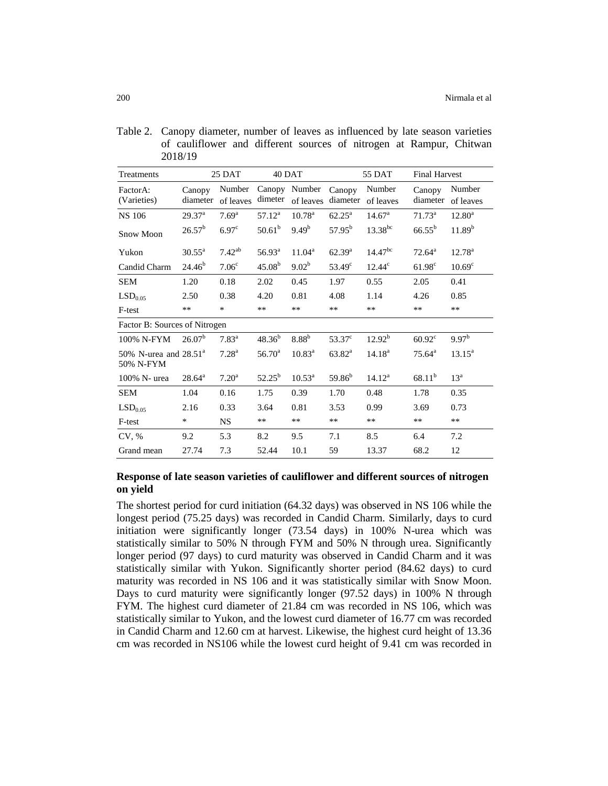| Table 2. Canopy diameter, number of leaves as influenced by late season varieties |
|-----------------------------------------------------------------------------------|
| of cauliflower and different sources of nitrogen at Rampur, Chitwan               |
| 2018/19                                                                           |

| Treatments                                  |                               | 25 DAT              | 40 DAT             |                            |                    | 55 DAT              | <b>Final Harvest</b> |                     |
|---------------------------------------------|-------------------------------|---------------------|--------------------|----------------------------|--------------------|---------------------|----------------------|---------------------|
| FactorA:<br>(Varieties)                     | Canopy<br>diameter            | Number<br>of leaves | dimeter            | Canopy Number<br>of leaves | Canopy<br>diameter | Number<br>of leaves | Canopy<br>diameter   | Number<br>of leaves |
| <b>NS 106</b>                               | 29.37 <sup>a</sup>            | $7.69^{\rm a}$      | $57.12^{\rm a}$    | 10.78 <sup>a</sup>         | $62.25^{\rm a}$    | 14.67 <sup>a</sup>  | $71.73^{\rm a}$      | $12.80^{\circ}$     |
| <b>Snow Moon</b>                            | $26.57^b$                     | 6.97 <sup>c</sup>   | $50.61^{b}$        | $9.49^{b}$                 | $57.95^{\rm b}$    | $13.38^{bc}$        | $66.55^{b}$          | 11.89 <sup>b</sup>  |
| Yukon                                       | $30.55^{\text{a}}$            | $7.42^{ab}$         | $56.93^{\rm a}$    | $11.04^{\rm a}$            | $62.39^{a}$        | $14.47^{bc}$        | $72.64^{\circ}$      | $12.78^{a}$         |
| Candid Charm                                | 24.46 <sup>b</sup>            | 7.06 <sup>c</sup>   | 45.08 <sup>b</sup> | 9.02 <sup>b</sup>          | $53.49^{\circ}$    | $12.44^c$           | $61.98^{\circ}$      | 10.69 <sup>c</sup>  |
| <b>SEM</b>                                  | 1.20                          | 0.18                | 2.02               | 0.45                       | 1.97               | 0.55                | 2.05                 | 0.41                |
| LSD <sub>0.05</sub>                         | 2.50                          | 0.38                | 4.20               | 0.81                       | 4.08               | 1.14                | 4.26                 | 0.85                |
| F-test                                      | $***$                         | *                   | $**$               | $***$                      | $**$               | $***$               | $***$                | **                  |
|                                             | Factor B: Sources of Nitrogen |                     |                    |                            |                    |                     |                      |                     |
| 100% N-FYM                                  | 26.07 <sup>b</sup>            | $7.83^{a}$          | $48.36^{b}$        | 8.88 <sup>b</sup>          | $53.37^{\circ}$    | 12.92 <sup>b</sup>  | $60.92^{\circ}$      | 9.97 <sup>b</sup>   |
| 50% N-urea and $28.51^{\circ}$<br>50% N-FYM |                               | $7.28^{a}$          | $56.70^{\rm a}$    | $10.83^{\rm a}$            | $63.82^{\rm a}$    | 14.18 <sup>a</sup>  | $75.64^{\rm a}$      | $13.15^a$           |
| 100% N- urea                                | $28.64^{\rm a}$               | 7.20 <sup>a</sup>   | $52.25^{\rm b}$    | $10.53^{\circ}$            | 59.86 <sup>b</sup> | $14.12^a$           | $68.11^{b}$          | $13^a$              |
| <b>SEM</b>                                  | 1.04                          | 0.16                | 1.75               | 0.39                       | 1.70               | 0.48                | 1.78                 | 0.35                |
| LSD <sub>0.05</sub>                         | 2.16                          | 0.33                | 3.64               | 0.81                       | 3.53               | 0.99                | 3.69                 | 0.73                |
| F-test                                      | ∗                             | <b>NS</b>           | $**$               | $***$                      | $**$               | $**$                | $**$                 | $**$                |
| CV, %                                       | 9.2                           | 5.3                 | 8.2                | 9.5                        | 7.1                | 8.5                 | 6.4                  | 7.2                 |
| Grand mean                                  | 27.74                         | 7.3                 | 52.44              | 10.1                       | 59                 | 13.37               | 68.2                 | 12                  |

## **Response of late season varieties of cauliflower and different sources of nitrogen on yield**

The shortest period for curd initiation (64.32 days) was observed in NS 106 while the longest period (75.25 days) was recorded in Candid Charm. Similarly, days to curd initiation were significantly longer (73.54 days) in 100% N-urea which was statistically similar to 50% N through FYM and 50% N through urea. Significantly longer period (97 days) to curd maturity was observed in Candid Charm and it was statistically similar with Yukon. Significantly shorter period (84.62 days) to curd maturity was recorded in NS 106 and it was statistically similar with Snow Moon. Days to curd maturity were significantly longer (97.52 days) in 100% N through FYM. The highest curd diameter of 21.84 cm was recorded in NS 106, which was statistically similar to Yukon, and the lowest curd diameter of 16.77 cm was recorded in Candid Charm and 12.60 cm at harvest. Likewise, the highest curd height of 13.36 cm was recorded in NS106 while the lowest curd height of 9.41 cm was recorded in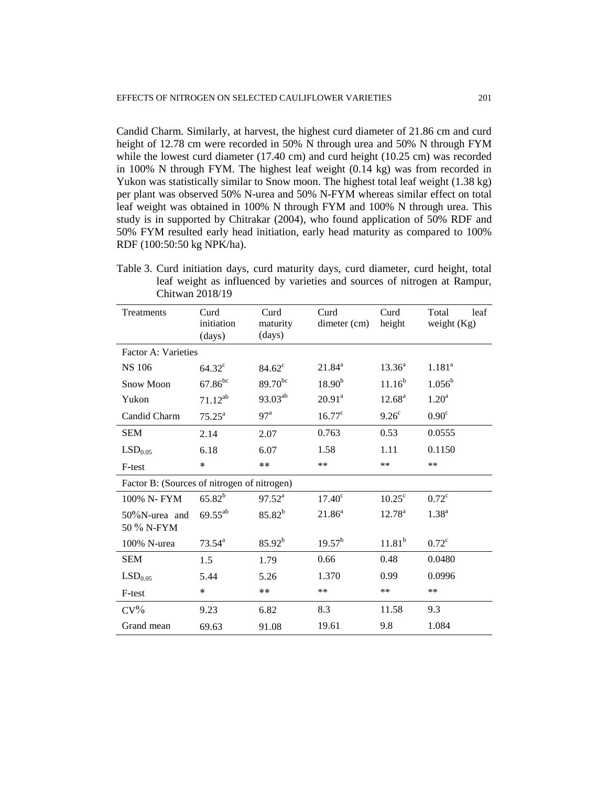Candid Charm. Similarly, at harvest, the highest curd diameter of 21.86 cm and curd height of 12.78 cm were recorded in 50% N through urea and 50% N through FYM while the lowest curd diameter (17.40 cm) and curd height (10.25 cm) was recorded in 100% N through FYM. The highest leaf weight (0.14 kg) was from recorded in Yukon was statistically similar to Snow moon. The highest total leaf weight (1.38 kg) per plant was observed 50% N-urea and 50% N-FYM whereas similar effect on total leaf weight was obtained in 100% N through FYM and 100% N through urea. This study is in supported by Chitrakar (2004), who found application of 50% RDF and 50% FYM resulted early head initiation, early head maturity as compared to 100% RDF (100:50:50 kg NPK/ha).

Table 3. Curd initiation days, curd maturity days, curd diameter, curd height, total leaf weight as influenced by varieties and sources of nitrogen at Rampur, Chitwan 2018/19

| Treatments                                  | Curd<br>initiation<br>(days) | Curd<br>maturity<br>(days) | Curd<br>dimeter (cm) | Curd<br>height     | Total<br>leaf<br>weight $(Kg)$ |
|---------------------------------------------|------------------------------|----------------------------|----------------------|--------------------|--------------------------------|
| Factor A: Varieties                         |                              |                            |                      |                    |                                |
| <b>NS 106</b>                               | $64.32^{\circ}$              | $84.62^{\circ}$            | $21.84^{\circ}$      | $13.36^{a}$        | $1.181^a$                      |
| Snow Moon                                   | $67.86^{bc}$                 | $89.70^{bc}$               | $18.90^{b}$          | $11.16^{b}$        | $1.056^{\rm b}$                |
| Yukon                                       | $71.12^{ab}$                 | 93.03 <sup>ab</sup>        | $20.91^a$            | $12.68^{\rm a}$    | 1.20 <sup>a</sup>              |
| Candid Charm                                | $75.25^{\text{a}}$           | 97 <sup>a</sup>            | $16.77^{\circ}$      | $9.26^{\circ}$     | 0.90 <sup>c</sup>              |
| <b>SEM</b>                                  | 2.14                         | 2.07                       | 0.763                | 0.53               | 0.0555                         |
| LSD <sub>0.05</sub>                         | 6.18                         | 6.07                       | 1.58                 | 1.11               | 0.1150                         |
| F-test                                      | $\ast$                       | $***$                      | $***$                | $**$               | **                             |
| Factor B: (Sources of nitrogen of nitrogen) |                              |                            |                      |                    |                                |
| 100% N-FYM                                  | $65.82^{b}$                  | $97.52^{\text{a}}$         | 17.40 <sup>c</sup>   | $10.25^{\circ}$    | $0.72^{\circ}$                 |
| 50%N-urea and<br>50 % N-FYM                 | $69.55^{ab}$                 | $85.82^{b}$                | $21.86^a$            | $12.78^{\rm a}$    | $1.38^{a}$                     |
| 100% N-urea                                 | $73.54^a$                    | $85.92^{b}$                | $19.57^{b}$          | 11.81 <sup>b</sup> | $0.72^{\circ}$                 |
|                                             |                              |                            |                      |                    |                                |
| <b>SEM</b>                                  | 1.5                          | 1.79                       | 0.66                 | 0.48               | 0.0480                         |
| LSD <sub>0.05</sub>                         | 5.44                         | 5.26                       | 1.370                | 0.99               | 0.0996                         |
| F-test                                      | $\ast$                       | **                         | **                   | **                 | **                             |
| $CV\%$                                      | 9.23                         | 6.82                       | 8.3                  | 11.58              | 9.3                            |
| Grand mean                                  | 69.63                        | 91.08                      | 19.61                | 9.8                | 1.084                          |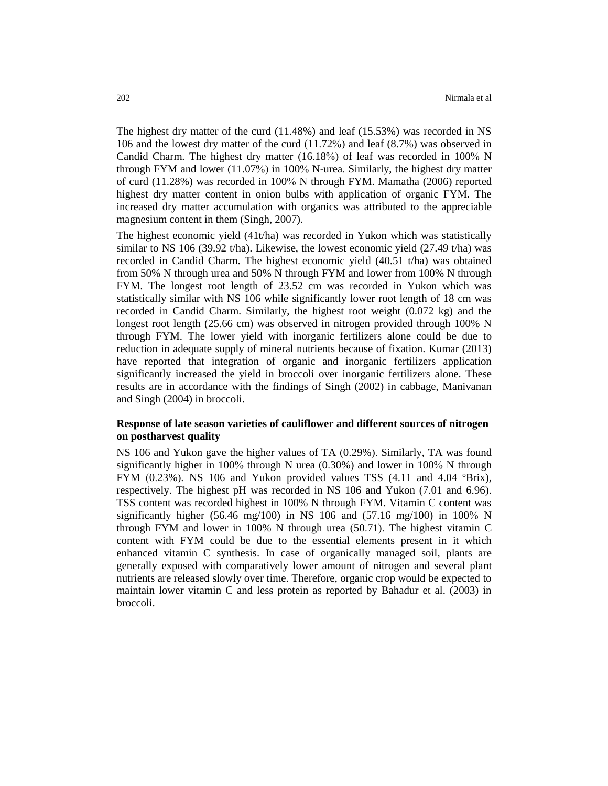The highest dry matter of the curd (11.48%) and leaf (15.53%) was recorded in NS 106 and the lowest dry matter of the curd (11.72%) and leaf (8.7%) was observed in Candid Charm. The highest dry matter (16.18%) of leaf was recorded in 100% N through FYM and lower (11.07%) in 100% N-urea. Similarly, the highest dry matter of curd (11.28%) was recorded in 100% N through FYM. Mamatha (2006) reported highest dry matter content in onion bulbs with application of organic FYM. The increased dry matter accumulation with organics was attributed to the appreciable magnesium content in them (Singh, 2007).

The highest economic yield (41t/ha) was recorded in Yukon which was statistically similar to NS 106 (39.92 t/ha). Likewise, the lowest economic yield (27.49 t/ha) was recorded in Candid Charm. The highest economic yield (40.51 t/ha) was obtained from 50% N through urea and 50% N through FYM and lower from 100% N through FYM. The longest root length of 23.52 cm was recorded in Yukon which was statistically similar with NS 106 while significantly lower root length of 18 cm was recorded in Candid Charm. Similarly, the highest root weight (0.072 kg) and the longest root length (25.66 cm) was observed in nitrogen provided through 100% N through FYM. The lower yield with inorganic fertilizers alone could be due to reduction in adequate supply of mineral nutrients because of fixation. Kumar (2013) have reported that integration of organic and inorganic fertilizers application significantly increased the yield in broccoli over inorganic fertilizers alone. These results are in accordance with the findings of Singh (2002) in cabbage, Manivanan and Singh (2004) in broccoli.

## **Response of late season varieties of cauliflower and different sources of nitrogen on postharvest quality**

NS 106 and Yukon gave the higher values of TA (0.29%). Similarly, TA was found significantly higher in 100% through N urea  $(0.30\%)$  and lower in 100% N through FYM  $(0.23\%)$ . NS 106 and Yukon provided values TSS  $(4.11 \text{ and } 4.04 \text{ }^{\circ}\text{Brix})$ , respectively. The highest pH was recorded in NS 106 and Yukon (7.01 and 6.96). TSS content was recorded highest in 100% N through FYM. Vitamin C content was significantly higher (56.46 mg/100) in NS 106 and (57.16 mg/100) in 100% N through FYM and lower in 100% N through urea (50.71). The highest vitamin C content with FYM could be due to the essential elements present in it which enhanced vitamin C synthesis. In case of organically managed soil, plants are generally exposed with comparatively lower amount of nitrogen and several plant nutrients are released slowly over time. Therefore, organic crop would be expected to maintain lower vitamin C and less protein as reported by Bahadur et al. (2003) in broccoli.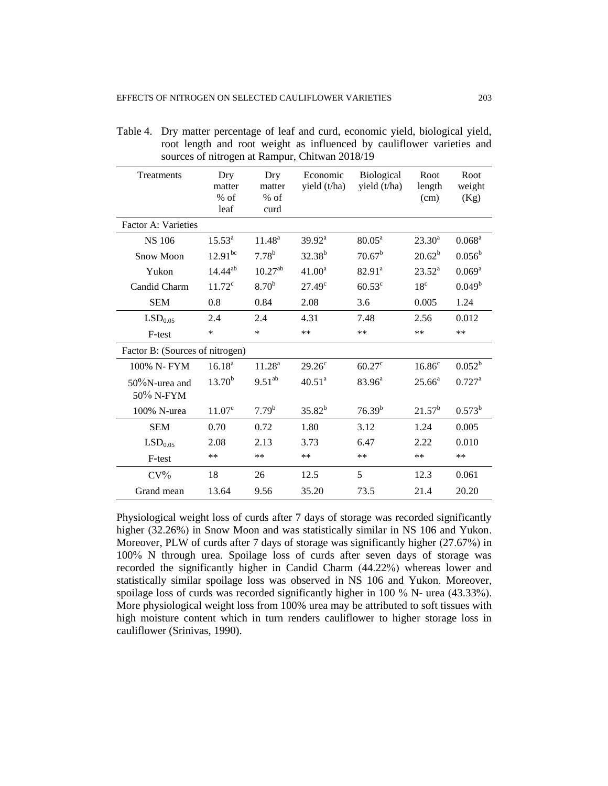| Treatments                      | Dry<br>matter<br>% of<br>leaf | Dry<br>matter<br>$%$ of<br>curd | Economic<br>yield (t/ha) | Biological<br>yield (t/ha) | Root<br>length<br>(cm) | Root<br>weight<br>(Kg) |
|---------------------------------|-------------------------------|---------------------------------|--------------------------|----------------------------|------------------------|------------------------|
| Factor A: Varieties             |                               |                                 |                          |                            |                        |                        |
| <b>NS 106</b>                   | $15.53^{a}$                   | 11.48 <sup>a</sup>              | $39.92^a$                | $80.05^{\text{a}}$         | $23.30^a$              | $0.068^{\rm a}$        |
| <b>Snow Moon</b>                | $12.91^{bc}$                  | $7.78^{b}$                      | $32.38^{b}$              | 70.67 <sup>b</sup>         | $20.62^b$              | $0.056^{\rm b}$        |
| Yukon                           | $14.44^{ab}$                  | $10.27^{ab}$                    | $41.00^a$                | $82.91^a$                  | $23.52^a$              | $0.069^{a}$            |
| Candid Charm                    | $11.72^c$                     | 8.70 <sup>b</sup>               | $27.49^c$                | $60.53^{\circ}$            | 18 <sup>c</sup>        | 0.049 <sup>b</sup>     |
| <b>SEM</b>                      | 0.8                           | 0.84                            | 2.08                     | 3.6                        | 0.005                  | 1.24                   |
| LSD <sub>0.05</sub>             | 2.4                           | 2.4                             | 4.31                     | 7.48                       | 2.56                   | 0.012                  |
| F-test                          | *                             | $\ast$                          | $**$                     | $**$                       | **                     | $**$                   |
| Factor B: (Sources of nitrogen) |                               |                                 |                          |                            |                        |                        |
| 100% N-FYM                      | $16.18^{a}$                   | 11.28 <sup>a</sup>              | $29.26^{\circ}$          | $60.27$ <sup>c</sup>       | 16.86 <sup>c</sup>     | $0.052^b$              |
| $50\%$ N-urea and<br>50% N-FYM  | $13.70^{b}$                   | $9.51^{ab}$                     | 40.51 <sup>a</sup>       | $83.96^{\circ}$            | $25.66^a$              | $0.727^{\rm a}$        |
| 100% N-urea                     | $11.07^c$                     | 7.79 <sup>b</sup>               | $35.82^{b}$              | $76.39^{b}$                | $21.57^b$              | $0.573^{b}$            |
| <b>SEM</b>                      | 0.70                          | 0.72                            | 1.80                     | 3.12                       | 1.24                   | 0.005                  |
| LSD <sub>0.05</sub>             | 2.08                          | 2.13                            | 3.73                     | 6.47                       | 2.22                   | 0.010                  |
| F-test                          | **                            | $**$                            | $**$                     | $**$                       | $**$                   | $**$                   |
| $CV\%$                          | 18                            | 26                              | 12.5                     | 5                          | 12.3                   | 0.061                  |
| Grand mean                      | 13.64                         | 9.56                            | 35.20                    | 73.5                       | 21.4                   | 20.20                  |

Table 4. Dry matter percentage of leaf and curd, economic yield, biological yield, root length and root weight as influenced by cauliflower varieties and sources of nitrogen at Rampur, Chitwan 2018/19

Physiological weight loss of curds after 7 days of storage was recorded significantly higher (32.26%) in Snow Moon and was statistically similar in NS 106 and Yukon. Moreover, PLW of curds after 7 days of storage was significantly higher (27.67%) in 100% N through urea. Spoilage loss of curds after seven days of storage was recorded the significantly higher in Candid Charm (44.22%) whereas lower and statistically similar spoilage loss was observed in NS 106 and Yukon. Moreover, spoilage loss of curds was recorded significantly higher in 100 % N- urea (43.33%). More physiological weight loss from 100% urea may be attributed to soft tissues with high moisture content which in turn renders cauliflower to higher storage loss in cauliflower (Srinivas, 1990).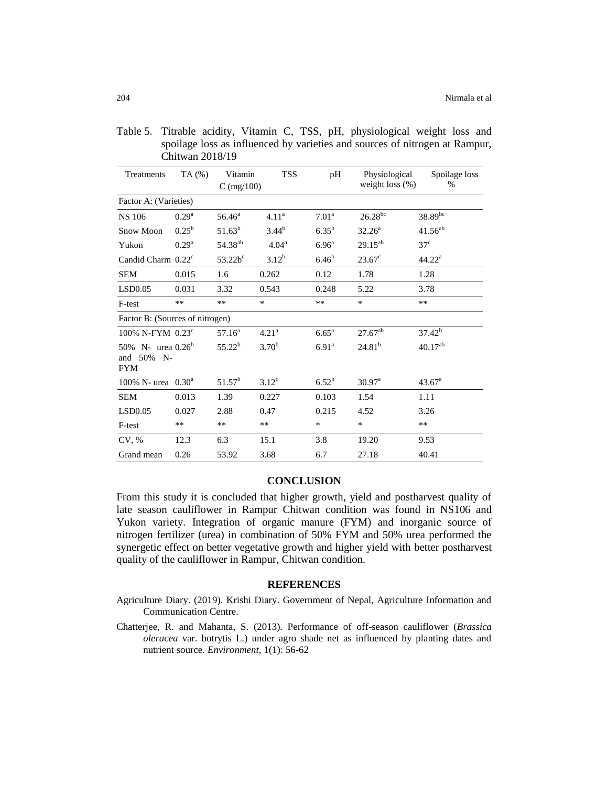| Treatments                                               | TA (%)            | Vitamin             | <b>TSS</b>        | pH                | Physiological      | Spoilage loss      |  |
|----------------------------------------------------------|-------------------|---------------------|-------------------|-------------------|--------------------|--------------------|--|
|                                                          |                   | $C$ (mg/100)        |                   |                   | weight loss $(\%)$ | %                  |  |
| Factor A: (Varieties)                                    |                   |                     |                   |                   |                    |                    |  |
| <b>NS 106</b>                                            | $0.29^{a}$        | $56.46^{\circ}$     | 4.11 <sup>a</sup> | 7.01 <sup>a</sup> | $26.28^{bc}$       | $38.89^{bc}$       |  |
| <b>Snow Moon</b>                                         | $0.25^{\rm b}$    | $51.63^b$           | $3.44^{b}$        | $6.35^{b}$        | $32.26^a$          | $41.56^{ab}$       |  |
| Yukon                                                    | 0.29 <sup>a</sup> | 54.38 <sup>ab</sup> | 4.04 <sup>a</sup> | 6.96 <sup>a</sup> | $29.15^{ab}$       | 37 <sup>c</sup>    |  |
| Candid Charm 0.22c                                       |                   | $53.22b^c$          | $3.12^{b}$        | 6.46 <sup>b</sup> | $23.67^{\circ}$    | $44.22^{\rm a}$    |  |
| <b>SEM</b>                                               | 0.015             | 1.6                 | 0.262             | 0.12              | 1.78               | 1.28               |  |
| LSD0.05                                                  | 0.031             | 3.32                | 0.543             | 0.248             | 5.22               | 3.78               |  |
| F-test                                                   | $**$              | $**$                | $\ast$            | $**$              | $\ast$             | $**$               |  |
| Factor B: (Sources of nitrogen)                          |                   |                     |                   |                   |                    |                    |  |
| 100% N-FYM $0.23^c$                                      |                   | $57.16^{\circ}$     | 4.21 <sup>a</sup> | $6.65^{\rm a}$    | $27.67^{ab}$       | $37.42^{b}$        |  |
| 50% N- urea $0.26^b$<br>50%<br>and<br>$N-$<br><b>FYM</b> |                   | $55.22^{b}$         | $3.70^{b}$        | 6.91 <sup>a</sup> | $24.81^{b}$        | $40.17^{ab}$       |  |
| 100% N- urea $0.30^a$                                    |                   | $51.57^b$           | $3.12^{\circ}$    | $6.52^{b}$        | 30.97 <sup>a</sup> | 43.67 <sup>a</sup> |  |
| <b>SEM</b>                                               | 0.013             | 1.39                | 0.227             | 0.103             | 1.54               | 1.11               |  |
| LSD0.05                                                  | 0.027             | 2.88                | 0.47              | 0.215             | 4.52               | 3.26               |  |
| F-test                                                   | $***$             | **                  | $***$             | $\ast$            | $\ast$             | $**$               |  |
| CV, %                                                    | 12.3              | 6.3                 | 15.1              | 3.8               | 19.20              | 9.53               |  |
| Grand mean                                               | 0.26              | 53.92               | 3.68              | 6.7               | 27.18              | 40.41              |  |

Table 5. Titrable acidity, Vitamin C, TSS, pH, physiological weight loss and spoilage loss as influenced by varieties and sources of nitrogen at Rampur, Chitwan 2018/19

#### **CONCLUSION**

From this study it is concluded that higher growth, yield and postharvest quality of late season cauliflower in Rampur Chitwan condition was found in NS106 and Yukon variety. Integration of organic manure (FYM) and inorganic source of nitrogen fertilizer (urea) in combination of 50% FYM and 50% urea performed the synergetic effect on better vegetative growth and higher yield with better postharvest quality of the cauliflower in Rampur, Chitwan condition.

#### **REFERENCES**

- Agriculture Diary. (2019). Krishi Diary. Government of Nepal, Agriculture Information and Communication Centre.
- Chatterjee, R. and Mahanta, S. (2013). Performance of off-season cauliflower (*Brassica oleracea* var. botrytis L.) under agro shade net as influenced by planting dates and nutrient source. *Environment*, 1(1): 56-62